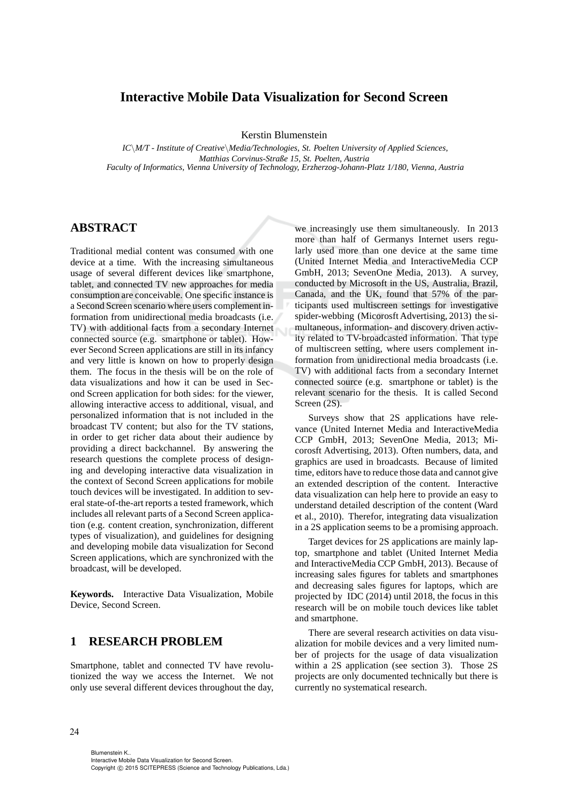# **Interactive Mobile Data Visualization for Second Screen**

Kerstin Blumenstein

*IC*\*M/T - Institute of Creative*\*Media/Technologies, St. Poelten University of Applied Sciences, Matthias Corvinus-Straße 15, St. Poelten, Austria Faculty of Informatics, Vienna University of Technology, Erzherzog-Johann-Platz 1/180, Vienna, Austria*

# **ABSTRACT**

Traditional medial content was consumed with one device at a time. With the increasing simultaneous usage of several different devices like smartphone, tablet, and connected TV new approaches for media consumption are conceivable. One specific instance is a Second Screen scenario where users complement information from unidirectional media broadcasts (i.e. TV) with additional facts from a secondary Internet connected source (e.g. smartphone or tablet). However Second Screen applications are still in its infancy and very little is known on how to properly design them. The focus in the thesis will be on the role of data visualizations and how it can be used in Second Screen application for both sides: for the viewer, allowing interactive access to additional, visual, and personalized information that is not included in the broadcast TV content; but also for the TV stations, in order to get richer data about their audience by providing a direct backchannel. By answering the research questions the complete process of designing and developing interactive data visualization in the context of Second Screen applications for mobile touch devices will be investigated. In addition to several state-of-the-art reports a tested framework, which includes all relevant parts of a Second Screen application (e.g. content creation, synchronization, different types of visualization), and guidelines for designing and developing mobile data visualization for Second Screen applications, which are synchronized with the broadcast, will be developed.

**Keywords.** Interactive Data Visualization, Mobile Device, Second Screen.

## **1 RESEARCH PROBLEM**

Smartphone, tablet and connected TV have revolutionized the way we access the Internet. We not only use several different devices throughout the day,

we increasingly use them simultaneously. In 2013 more than half of Germanys Internet users regularly used more than one device at the same time (United Internet Media and InteractiveMedia CCP GmbH, 2013; SevenOne Media, 2013). A survey, conducted by Microsoft in the US, Australia, Brazil, Canada, and the UK, found that 57% of the participants used multiscreen settings for investigative spider-webbing (Micorosft Advertising, 2013) the simultaneous, information- and discovery driven activity related to TV-broadcasted information. That type of multiscreen setting, where users complement information from unidirectional media broadcasts (i.e. TV) with additional facts from a secondary Internet connected source (e.g. smartphone or tablet) is the relevant scenario for the thesis. It is called Second Screen (2S).

Surveys show that 2S applications have relevance (United Internet Media and InteractiveMedia CCP GmbH, 2013; SevenOne Media, 2013; Micorosft Advertising, 2013). Often numbers, data, and graphics are used in broadcasts. Because of limited time, editors have to reduce those data and cannot give an extended description of the content. Interactive data visualization can help here to provide an easy to understand detailed description of the content (Ward et al., 2010). Therefor, integrating data visualization in a 2S application seems to be a promising approach.

Target devices for 2S applications are mainly laptop, smartphone and tablet (United Internet Media and InteractiveMedia CCP GmbH, 2013). Because of increasing sales figures for tablets and smartphones and decreasing sales figures for laptops, which are projected by IDC (2014) until 2018, the focus in this research will be on mobile touch devices like tablet and smartphone.

There are several research activities on data visualization for mobile devices and a very limited number of projects for the usage of data visualization within a 2S application (see section 3). Those 2S projects are only documented technically but there is currently no systematical research.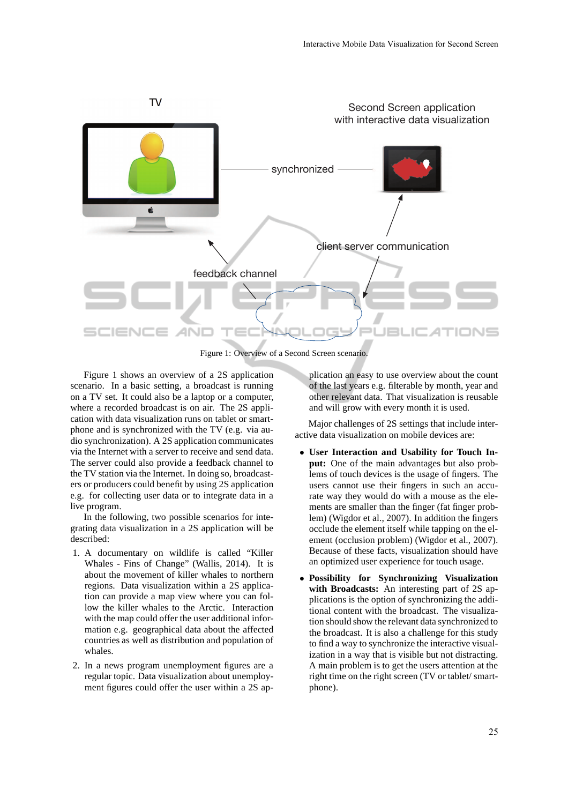

Figure 1: Overview of a Second Screen scenario.

Figure 1 shows an overview of a 2S application scenario. In a basic setting, a broadcast is running on a TV set. It could also be a laptop or a computer, where a recorded broadcast is on air. The 2S application with data visualization runs on tablet or smartphone and is synchronized with the TV (e.g. via audio synchronization). A 2S application communicates via the Internet with a server to receive and send data. The server could also provide a feedback channel to the TV station via the Internet. In doing so, broadcasters or producers could benefit by using 2S application e.g. for collecting user data or to integrate data in a live program.

In the following, two possible scenarios for integrating data visualization in a 2S application will be described:

- 1. A documentary on wildlife is called "Killer Whales - Fins of Change" (Wallis, 2014). It is about the movement of killer whales to northern regions. Data visualization within a 2S application can provide a map view where you can follow the killer whales to the Arctic. Interaction with the map could offer the user additional information e.g. geographical data about the affected countries as well as distribution and population of whales.
- 2. In a news program unemployment figures are a regular topic. Data visualization about unemployment figures could offer the user within a 2S ap-

plication an easy to use overview about the count of the last years e.g. filterable by month, year and other relevant data. That visualization is reusable and will grow with every month it is used.

Major challenges of 2S settings that include interactive data visualization on mobile devices are:

- **User Interaction and Usability for Touch Input:** One of the main advantages but also problems of touch devices is the usage of fingers. The users cannot use their fingers in such an accurate way they would do with a mouse as the elements are smaller than the finger (fat finger problem) (Wigdor et al., 2007). In addition the fingers occlude the element itself while tapping on the element (occlusion problem) (Wigdor et al., 2007). Because of these facts, visualization should have an optimized user experience for touch usage.
- **Possibility for Synchronizing Visualization with Broadcasts:** An interesting part of 2S applications is the option of synchronizing the additional content with the broadcast. The visualization should show the relevant data synchronized to the broadcast. It is also a challenge for this study to find a way to synchronize the interactive visualization in a way that is visible but not distracting. A main problem is to get the users attention at the right time on the right screen (TV or tablet/ smartphone).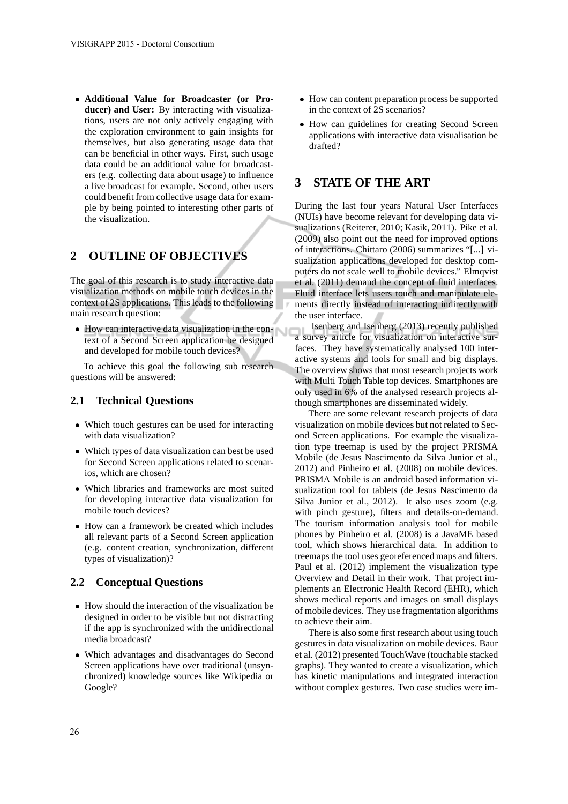• **Additional Value for Broadcaster (or Producer) and User:** By interacting with visualizations, users are not only actively engaging with the exploration environment to gain insights for themselves, but also generating usage data that can be beneficial in other ways. First, such usage data could be an additional value for broadcasters (e.g. collecting data about usage) to influence a live broadcast for example. Second, other users could benefit from collective usage data for example by being pointed to interesting other parts of the visualization.

## **2 OUTLINE OF OBJECTIVES**

The goal of this research is to study interactive data visualization methods on mobile touch devices in the context of 2S applications. This leads to the following main research question:

• How can interactive data visualization in the context of a Second Screen application be designed and developed for mobile touch devices?

To achieve this goal the following sub research questions will be answered:

### **2.1 Technical Questions**

- Which touch gestures can be used for interacting with data visualization?
- Which types of data visualization can best be used for Second Screen applications related to scenarios, which are chosen?
- Which libraries and frameworks are most suited for developing interactive data visualization for mobile touch devices?
- How can a framework be created which includes all relevant parts of a Second Screen application (e.g. content creation, synchronization, different types of visualization)?

### **2.2 Conceptual Questions**

- How should the interaction of the visualization be designed in order to be visible but not distracting if the app is synchronized with the unidirectional media broadcast?
- Which advantages and disadvantages do Second Screen applications have over traditional (unsynchronized) knowledge sources like Wikipedia or Google?
- How can content preparation process be supported in the context of 2S scenarios?
- How can guidelines for creating Second Screen applications with interactive data visualisation be drafted?

## **3 STATE OF THE ART**

During the last four years Natural User Interfaces (NUIs) have become relevant for developing data visualizations (Reiterer, 2010; Kasik, 2011). Pike et al. (2009) also point out the need for improved options of interactions. Chittaro (2006) summarizes "[...] visualization applications developed for desktop computers do not scale well to mobile devices." Elmqvist et al. (2011) demand the concept of fluid interfaces. Fluid interface lets users touch and manipulate elements directly instead of interacting indirectly with the user interface.

Isenberg and Isenberg (2013) recently published a survey article for visualization on interactive surfaces. They have systematically analysed 100 interactive systems and tools for small and big displays. The overview shows that most research projects work with Multi Touch Table top devices. Smartphones are only used in 6% of the analysed research projects although smartphones are disseminated widely.

There are some relevant research projects of data visualization on mobile devices but not related to Second Screen applications. For example the visualization type treemap is used by the project PRISMA Mobile (de Jesus Nascimento da Silva Junior et al., 2012) and Pinheiro et al. (2008) on mobile devices. PRISMA Mobile is an android based information visualization tool for tablets (de Jesus Nascimento da Silva Junior et al., 2012). It also uses zoom (e.g. with pinch gesture), filters and details-on-demand. The tourism information analysis tool for mobile phones by Pinheiro et al. (2008) is a JavaME based tool, which shows hierarchical data. In addition to treemaps the tool uses georeferenced maps and filters. Paul et al. (2012) implement the visualization type Overview and Detail in their work. That project implements an Electronic Health Record (EHR), which shows medical reports and images on small displays of mobile devices. They use fragmentation algorithms to achieve their aim.

There is also some first research about using touch gestures in data visualization on mobile devices. Baur et al. (2012) presented TouchWave (touchable stacked graphs). They wanted to create a visualization, which has kinetic manipulations and integrated interaction without complex gestures. Two case studies were im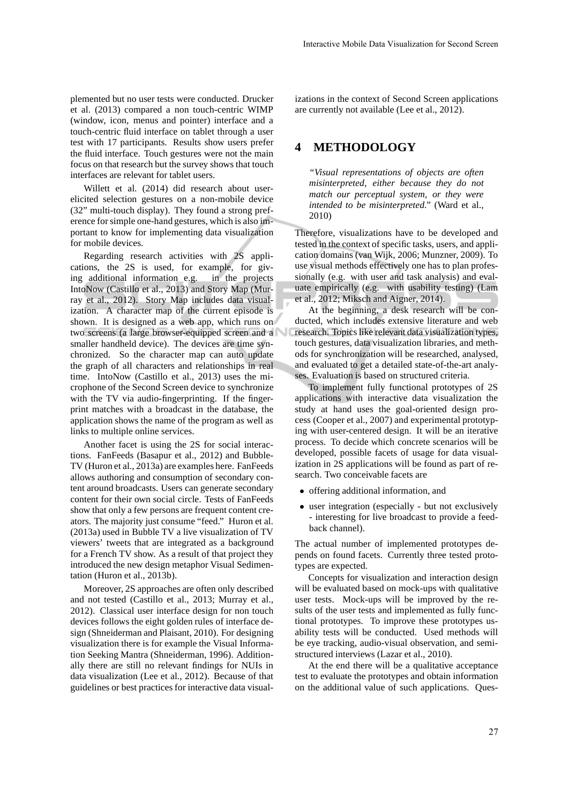plemented but no user tests were conducted. Drucker et al. (2013) compared a non touch-centric WIMP (window, icon, menus and pointer) interface and a touch-centric fluid interface on tablet through a user test with 17 participants. Results show users prefer the fluid interface. Touch gestures were not the main focus on that research but the survey shows that touch interfaces are relevant for tablet users.

Willett et al. (2014) did research about userelicited selection gestures on a non-mobile device (32" multi-touch display). They found a strong preference for simple one-hand gestures, which is also important to know for implementing data visualization for mobile devices.

Regarding research activities with 2S applications, the 2S is used, for example, for giving additional information e.g. in the projects IntoNow (Castillo et al., 2013) and Story Map (Murray et al., 2012). Story Map includes data visualization. A character map of the current episode is shown. It is designed as a web app, which runs on two screens (a large browser-equipped screen and a smaller handheld device). The devices are time synchronized. So the character map can auto update the graph of all characters and relationships in real time. IntoNow (Castillo et al., 2013) uses the microphone of the Second Screen device to synchronize with the TV via audio-fingerprinting. If the fingerprint matches with a broadcast in the database, the application shows the name of the program as well as links to multiple online services.

Another facet is using the 2S for social interactions. FanFeeds (Basapur et al., 2012) and Bubble-TV (Huron et al., 2013a) are examples here. FanFeeds allows authoring and consumption of secondary content around broadcasts. Users can generate secondary content for their own social circle. Tests of FanFeeds show that only a few persons are frequent content creators. The majority just consume "feed." Huron et al. (2013a) used in Bubble TV a live visualization of TV viewers' tweets that are integrated as a background for a French TV show. As a result of that project they introduced the new design metaphor Visual Sedimentation (Huron et al., 2013b).

Moreover, 2S approaches are often only described and not tested (Castillo et al., 2013; Murray et al., 2012). Classical user interface design for non touch devices follows the eight golden rules of interface design (Shneiderman and Plaisant, 2010). For designing visualization there is for example the Visual Information Seeking Mantra (Shneiderman, 1996). Additionally there are still no relevant findings for NUIs in data visualization (Lee et al., 2012). Because of that guidelines or best practices for interactive data visualizations in the context of Second Screen applications are currently not available (Lee et al., 2012).

### **4 METHODOLOGY**

*"Visual representations of objects are often misinterpreted, either because they do not match our perceptual system, or they were intended to be misinterpreted."* (Ward et al., 2010)

Therefore, visualizations have to be developed and tested in the context of specific tasks, users, and application domains (van Wijk, 2006; Munzner, 2009). To use visual methods effectively one has to plan professionally (e.g. with user and task analysis) and evaluate empirically (e.g. with usability testing) (Lam et al., 2012; Miksch and Aigner, 2014).

At the beginning, a desk research will be conducted, which includes extensive literature and web research. Topics like relevant data visualization types, touch gestures, data visualization libraries, and methods for synchronization will be researched, analysed, and evaluated to get a detailed state-of-the-art analyses. Evaluation is based on structured criteria.

To implement fully functional prototypes of 2S applications with interactive data visualization the study at hand uses the goal-oriented design process (Cooper et al., 2007) and experimental prototyping with user-centered design. It will be an iterative process. To decide which concrete scenarios will be developed, possible facets of usage for data visualization in 2S applications will be found as part of research. Two conceivable facets are

- offering additional information, and
- user integration (especially but not exclusively - interesting for live broadcast to provide a feedback channel).

The actual number of implemented prototypes depends on found facets. Currently three tested prototypes are expected.

Concepts for visualization and interaction design will be evaluated based on mock-ups with qualitative user tests. Mock-ups will be improved by the results of the user tests and implemented as fully functional prototypes. To improve these prototypes usability tests will be conducted. Used methods will be eye tracking, audio-visual observation, and semistructured interviews (Lazar et al., 2010).

At the end there will be a qualitative acceptance test to evaluate the prototypes and obtain information on the additional value of such applications. Ques-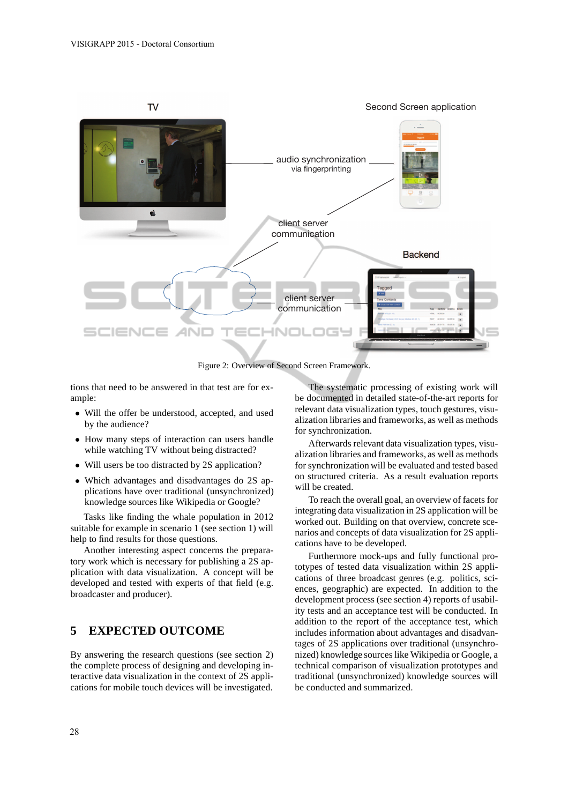

Figure 2: Overview of Second Screen Framework.

tions that need to be answered in that test are for example:

- Will the offer be understood, accepted, and used by the audience?
- How many steps of interaction can users handle while watching TV without being distracted?
- Will users be too distracted by 2S application?
- Which advantages and disadvantages do 2S applications have over traditional (unsynchronized) knowledge sources like Wikipedia or Google?

Tasks like finding the whale population in 2012 suitable for example in scenario 1 (see section 1) will help to find results for those questions.

Another interesting aspect concerns the preparatory work which is necessary for publishing a 2S application with data visualization. A concept will be developed and tested with experts of that field (e.g. broadcaster and producer).

### **5 EXPECTED OUTCOME**

By answering the research questions (see section 2) the complete process of designing and developing interactive data visualization in the context of 2S applications for mobile touch devices will be investigated.

The systematic processing of existing work will be documented in detailed state-of-the-art reports for relevant data visualization types, touch gestures, visualization libraries and frameworks, as well as methods for synchronization.

Afterwards relevant data visualization types, visualization libraries and frameworks, as well as methods for synchronization will be evaluated and tested based on structured criteria. As a result evaluation reports will be created.

To reach the overall goal, an overview of facets for integrating data visualization in 2S application will be worked out. Building on that overview, concrete scenarios and concepts of data visualization for 2S applications have to be developed.

Furthermore mock-ups and fully functional prototypes of tested data visualization within 2S applications of three broadcast genres (e.g. politics, sciences, geographic) are expected. In addition to the development process (see section 4) reports of usability tests and an acceptance test will be conducted. In addition to the report of the acceptance test, which includes information about advantages and disadvantages of 2S applications over traditional (unsynchronized) knowledge sources like Wikipedia or Google, a technical comparison of visualization prototypes and traditional (unsynchronized) knowledge sources will be conducted and summarized.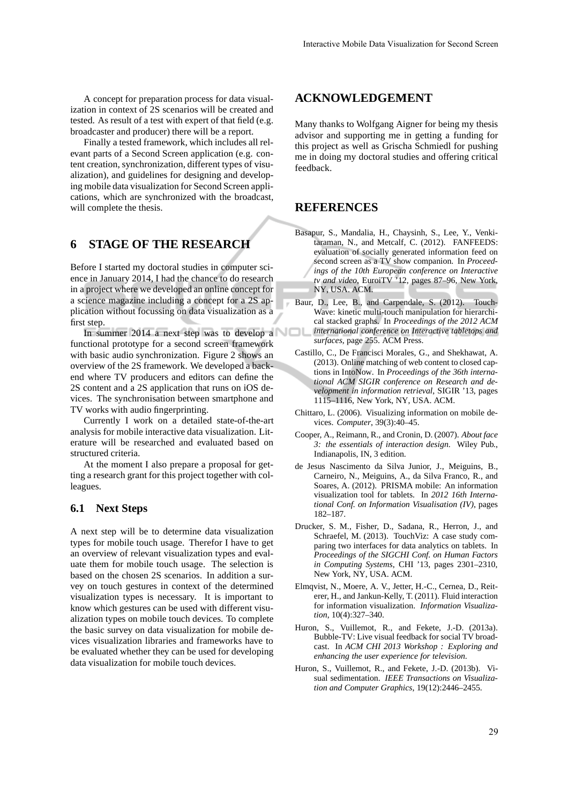A concept for preparation process for data visualization in context of 2S scenarios will be created and tested. As result of a test with expert of that field (e.g. broadcaster and producer) there will be a report.

Finally a tested framework, which includes all relevant parts of a Second Screen application (e.g. content creation, synchronization, different types of visualization), and guidelines for designing and developing mobile data visualization for Second Screen applications, which are synchronized with the broadcast, will complete the thesis.

### **6 STAGE OF THE RESEARCH**

Before I started my doctoral studies in computer science in January 2014, I had the chance to do research in a project where we developed an online concept for a science magazine including a concept for a 2S application without focussing on data visualization as a first step.

In summer 2014 a next step was to develop a functional prototype for a second screen framework with basic audio synchronization. Figure 2 shows an overview of the 2S framework. We developed a backend where TV producers and editors can define the 2S content and a 2S application that runs on iOS devices. The synchronisation between smartphone and TV works with audio fingerprinting.

Currently I work on a detailed state-of-the-art analysis for mobile interactive data visualization. Literature will be researched and evaluated based on structured criteria.

At the moment I also prepare a proposal for getting a research grant for this project together with colleagues.

#### **6.1 Next Steps**

A next step will be to determine data visualization types for mobile touch usage. Therefor I have to get an overview of relevant visualization types and evaluate them for mobile touch usage. The selection is based on the chosen 2S scenarios. In addition a survey on touch gestures in context of the determined visualization types is necessary. It is important to know which gestures can be used with different visualization types on mobile touch devices. To complete the basic survey on data visualization for mobile devices visualization libraries and frameworks have to be evaluated whether they can be used for developing data visualization for mobile touch devices.

#### **ACKNOWLEDGEMENT**

Many thanks to Wolfgang Aigner for being my thesis advisor and supporting me in getting a funding for this project as well as Grischa Schmiedl for pushing me in doing my doctoral studies and offering critical feedback.

## **REFERENCES**

- Basapur, S., Mandalia, H., Chaysinh, S., Lee, Y., Venkitaraman, N., and Metcalf, C. (2012). FANFEEDS: evaluation of socially generated information feed on second screen as a TV show companion. In *Proceedings of the 10th European conference on Interactive tv and video*, EuroiTV '12, pages 87–96, New York, NY, USA. ACM.
- Baur, D., Lee, B., and Carpendale, S. (2012). Touch-Wave: kinetic multi-touch manipulation for hierarchical stacked graphs. In *Proceedings of the 2012 ACM international conference on Interactive tabletops and surfaces*, page 255. ACM Press.
- Castillo, C., De Francisci Morales, G., and Shekhawat, A. (2013). Online matching of web content to closed captions in IntoNow. In *Proceedings of the 36th international ACM SIGIR conference on Research and development in information retrieval*, SIGIR '13, pages 1115–1116, New York, NY, USA. ACM.
- Chittaro, L. (2006). Visualizing information on mobile devices. *Computer*, 39(3):40–45.
- Cooper, A., Reimann, R., and Cronin, D. (2007). *About face 3: the essentials of interaction design*. Wiley Pub., Indianapolis, IN, 3 edition.
- de Jesus Nascimento da Silva Junior, J., Meiguins, B., Carneiro, N., Meiguins, A., da Silva Franco, R., and Soares, A. (2012). PRISMA mobile: An information visualization tool for tablets. In *2012 16th International Conf. on Information Visualisation (IV)*, pages 182–187.
- Drucker, S. M., Fisher, D., Sadana, R., Herron, J., and Schraefel, M. (2013). TouchViz: A case study comparing two interfaces for data analytics on tablets. In *Proceedings of the SIGCHI Conf. on Human Factors in Computing Systems*, CHI '13, pages 2301–2310, New York, NY, USA. ACM.
- Elmqvist, N., Moere, A. V., Jetter, H.-C., Cernea, D., Reiterer, H., and Jankun-Kelly, T. (2011). Fluid interaction for information visualization. *Information Visualization*, 10(4):327–340.
- Huron, S., Vuillemot, R., and Fekete, J.-D. (2013a). Bubble-TV: Live visual feedback for social TV broadcast. In *ACM CHI 2013 Workshop : Exploring and enhancing the user experience for television*.
- Huron, S., Vuillemot, R., and Fekete, J.-D. (2013b). Visual sedimentation. *IEEE Transactions on Visualization and Computer Graphics*, 19(12):2446–2455.